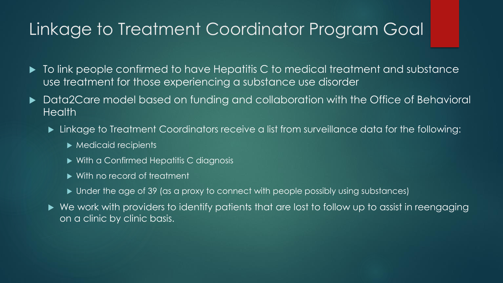### Linkage to Treatment Coordinator Program Goal

- $\blacktriangleright$  To link people confirmed to have Hepatitis C to medical treatment and substance use treatment for those experiencing a substance use disorder
- Data2Care model based on funding and collaboration with the Office of Behavioral Health
	- Linkage to Treatment Coordinators receive a list from surveillance data for the following:
		- $\blacktriangleright$  Medicaid recipients
		- ▶ With a Confirmed Hepatitis C diagnosis
		- With no record of treatment
		- ▶ Under the age of 39 (as a proxy to connect with people possibly using substances)
	- We work with providers to identify patients that are lost to follow up to assist in reengaging on a clinic by clinic basis.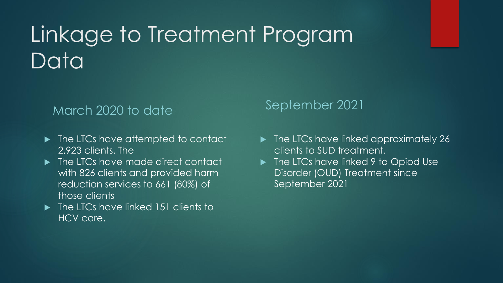# Linkage to Treatment Program Datal

#### March 2020 to date

- $\blacktriangleright$  The LTCs have attempted to contact 2,923 clients. The
- ▶ The LTCs have made direct contact with 826 clients and provided harm reduction services to 661 (80%) of those clients
- $\blacktriangleright$  The LTCs have linked 151 clients to **HCV care.**

#### September 2021

- The LTCs have linked approximately 26 clients to SUD treatment.
- ▶ The LTCs have linked 9 to Opiod Use Disorder (OUD) Treatment since September 2021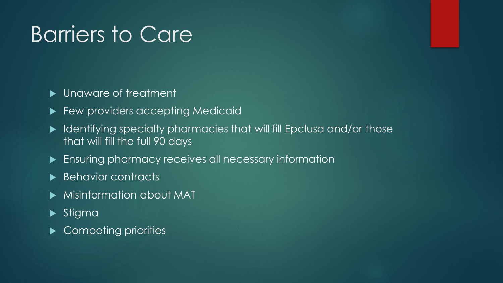## Barriers to Care

#### **Demography** Unaware of treatment

- Few providers accepting Medicaid
- $\blacktriangleright$  Identifying specialty pharmacies that will fill Epclusa and/or those that will fill the full 90 days
- **Ensuring pharmacy receives all necessary information**
- Behavior contracts
- Misinformation about MAT
- **>**Stigma
- Competing priorities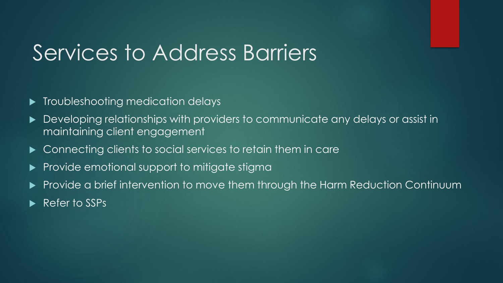### Services to Address Barriers

- **Troubleshooting medication delays**
- **Developing relationships with providers to communicate any delays or assist in** maintaining client engagement
- $\blacktriangleright$  Connecting clients to social services to retain them in care
- Provide emotional support to mitigate stigma
- Provide a brief intervention to move them through the Harm Reduction Continuum
- Refer to SSPs